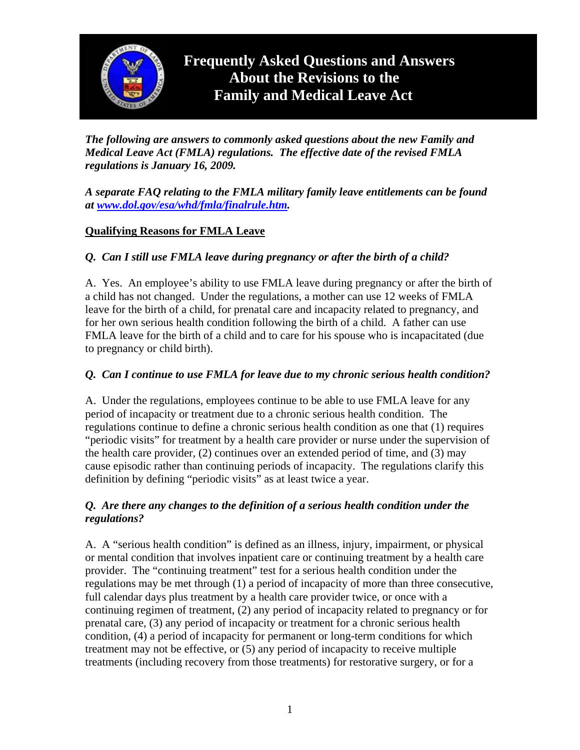

*The following are answers to commonly asked questions about the new Family and Medical Leave Act (FMLA) regulations. The effective date of the revised FMLA regulations is January 16, 2009.* 

*A separate FAQ relating to the FMLA military family leave entitlements can be found at [www.dol.gov/esa/whd/fmla/finalrule.htm](http://www.dol.gov/esa/whd/fmla/finalrule.htm).* 

## **Qualifying Reasons for FMLA Leave**

## *Q. Can I still use FMLA leave during pregnancy or after the birth of a child?*

A. Yes. An employee's ability to use FMLA leave during pregnancy or after the birth of a child has not changed. Under the regulations, a mother can use 12 weeks of FMLA leave for the birth of a child, for prenatal care and incapacity related to pregnancy, and for her own serious health condition following the birth of a child. A father can use FMLA leave for the birth of a child and to care for his spouse who is incapacitated (due to pregnancy or child birth).

#### *Q. Can I continue to use FMLA for leave due to my chronic serious health condition?*

A. Under the regulations, employees continue to be able to use FMLA leave for any period of incapacity or treatment due to a chronic serious health condition. The regulations continue to define a chronic serious health condition as one that (1) requires "periodic visits" for treatment by a health care provider or nurse under the supervision of the health care provider, (2) continues over an extended period of time, and (3) may cause episodic rather than continuing periods of incapacity. The regulations clarify this definition by defining "periodic visits" as at least twice a year.

#### *Q. Are there any changes to the definition of a serious health condition under the regulations?*

A. A "serious health condition" is defined as an illness, injury, impairment, or physical or mental condition that involves inpatient care or continuing treatment by a health care provider. The "continuing treatment" test for a serious health condition under the regulations may be met through (1) a period of incapacity of more than three consecutive, full calendar days plus treatment by a health care provider twice, or once with a continuing regimen of treatment, (2) any period of incapacity related to pregnancy or for prenatal care, (3) any period of incapacity or treatment for a chronic serious health condition, (4) a period of incapacity for permanent or long-term conditions for which treatment may not be effective, or (5) any period of incapacity to receive multiple treatments (including recovery from those treatments) for restorative surgery, or for a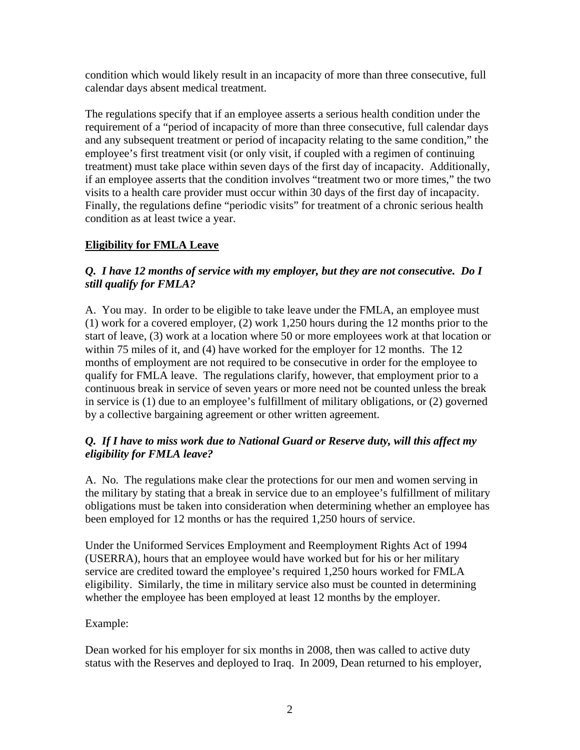condition which would likely result in an incapacity of more than three consecutive, full calendar days absent medical treatment.

The regulations specify that if an employee asserts a serious health condition under the requirement of a "period of incapacity of more than three consecutive, full calendar days and any subsequent treatment or period of incapacity relating to the same condition," the employee's first treatment visit (or only visit, if coupled with a regimen of continuing treatment) must take place within seven days of the first day of incapacity. Additionally, if an employee asserts that the condition involves "treatment two or more times," the two visits to a health care provider must occur within 30 days of the first day of incapacity. Finally, the regulations define "periodic visits" for treatment of a chronic serious health condition as at least twice a year.

# **Eligibility for FMLA Leave**

## *Q. I have 12 months of service with my employer, but they are not consecutive. Do I still qualify for FMLA?*

A. You may. In order to be eligible to take leave under the FMLA, an employee must (1) work for a covered employer, (2) work 1,250 hours during the 12 months prior to the start of leave, (3) work at a location where 50 or more employees work at that location or within 75 miles of it, and (4) have worked for the employer for 12 months. The 12 months of employment are not required to be consecutive in order for the employee to qualify for FMLA leave. The regulations clarify, however, that employment prior to a continuous break in service of seven years or more need not be counted unless the break in service is (1) due to an employee's fulfillment of military obligations, or (2) governed by a collective bargaining agreement or other written agreement.

## *Q. If I have to miss work due to National Guard or Reserve duty, will this affect my eligibility for FMLA leave?*

A. No. The regulations make clear the protections for our men and women serving in the military by stating that a break in service due to an employee's fulfillment of military obligations must be taken into consideration when determining whether an employee has been employed for 12 months or has the required 1,250 hours of service.

Under the Uniformed Services Employment and Reemployment Rights Act of 1994 (USERRA), hours that an employee would have worked but for his or her military service are credited toward the employee's required 1,250 hours worked for FMLA eligibility. Similarly, the time in military service also must be counted in determining whether the employee has been employed at least 12 months by the employer.

#### Example:

Dean worked for his employer for six months in 2008, then was called to active duty status with the Reserves and deployed to Iraq. In 2009, Dean returned to his employer,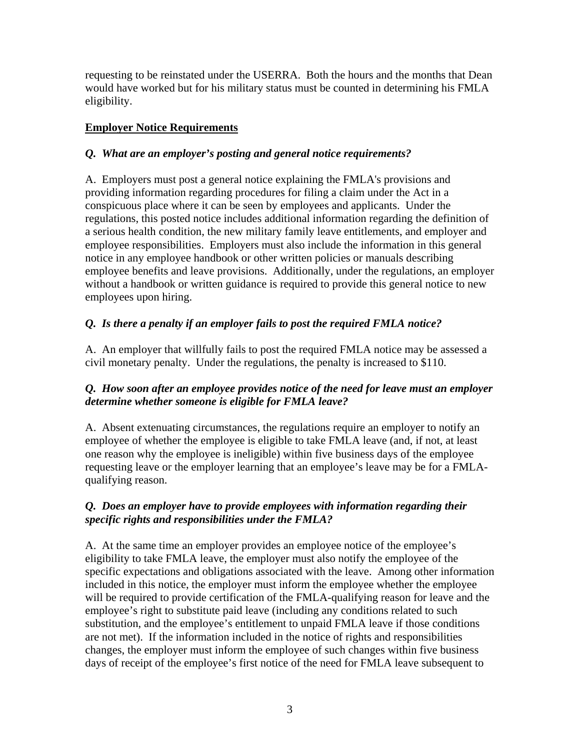requesting to be reinstated under the USERRA. Both the hours and the months that Dean would have worked but for his military status must be counted in determining his FMLA eligibility.

# **Employer Notice Requirements**

### *Q. What are an employer's posting and general notice requirements?*

A. Employers must post a general notice explaining the FMLA's provisions and providing information regarding procedures for filing a claim under the Act in a conspicuous place where it can be seen by employees and applicants. Under the regulations, this posted notice includes additional information regarding the definition of a serious health condition, the new military family leave entitlements, and employer and employee responsibilities. Employers must also include the information in this general notice in any employee handbook or other written policies or manuals describing employee benefits and leave provisions. Additionally, under the regulations, an employer without a handbook or written guidance is required to provide this general notice to new employees upon hiring.

# *Q. Is there a penalty if an employer fails to post the required FMLA notice?*

A. An employer that willfully fails to post the required FMLA notice may be assessed a civil monetary penalty. Under the regulations, the penalty is increased to \$110.

## *Q. How soon after an employee provides notice of the need for leave must an employer determine whether someone is eligible for FMLA leave?*

A. Absent extenuating circumstances, the regulations require an employer to notify an employee of whether the employee is eligible to take FMLA leave (and, if not, at least one reason why the employee is ineligible) within five business days of the employee requesting leave or the employer learning that an employee's leave may be for a FMLAqualifying reason.

## *Q. Does an employer have to provide employees with information regarding their specific rights and responsibilities under the FMLA?*

A. At the same time an employer provides an employee notice of the employee's eligibility to take FMLA leave, the employer must also notify the employee of the specific expectations and obligations associated with the leave. Among other information included in this notice, the employer must inform the employee whether the employee will be required to provide certification of the FMLA-qualifying reason for leave and the employee's right to substitute paid leave (including any conditions related to such substitution, and the employee's entitlement to unpaid FMLA leave if those conditions are not met). If the information included in the notice of rights and responsibilities changes, the employer must inform the employee of such changes within five business days of receipt of the employee's first notice of the need for FMLA leave subsequent to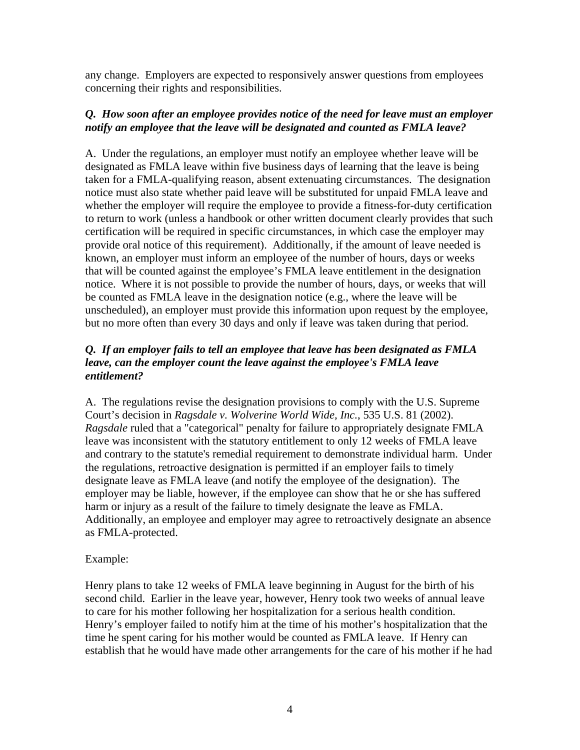any change. Employers are expected to responsively answer questions from employees concerning their rights and responsibilities.

#### *Q. How soon after an employee provides notice of the need for leave must an employer notify an employee that the leave will be designated and counted as FMLA leave?*

A. Under the regulations, an employer must notify an employee whether leave will be designated as FMLA leave within five business days of learning that the leave is being taken for a FMLA-qualifying reason, absent extenuating circumstances. The designation notice must also state whether paid leave will be substituted for unpaid FMLA leave and whether the employer will require the employee to provide a fitness-for-duty certification to return to work (unless a handbook or other written document clearly provides that such certification will be required in specific circumstances, in which case the employer may provide oral notice of this requirement). Additionally, if the amount of leave needed is known, an employer must inform an employee of the number of hours, days or weeks that will be counted against the employee's FMLA leave entitlement in the designation notice. Where it is not possible to provide the number of hours, days, or weeks that will be counted as FMLA leave in the designation notice (e.g., where the leave will be unscheduled), an employer must provide this information upon request by the employee, but no more often than every 30 days and only if leave was taken during that period.

#### *Q. If an employer fails to tell an employee that leave has been designated as FMLA leave, can the employer count the leave against the employee's FMLA leave entitlement?*

A. The regulations revise the designation provisions to comply with the U.S. Supreme Court's decision in *Ragsdale v. Wolverine World Wide, Inc.*, 535 U.S. 81 (2002). *Ragsdale* ruled that a "categorical" penalty for failure to appropriately designate FMLA leave was inconsistent with the statutory entitlement to only 12 weeks of FMLA leave and contrary to the statute's remedial requirement to demonstrate individual harm. Under the regulations, retroactive designation is permitted if an employer fails to timely designate leave as FMLA leave (and notify the employee of the designation). The employer may be liable, however, if the employee can show that he or she has suffered harm or injury as a result of the failure to timely designate the leave as FMLA. Additionally, an employee and employer may agree to retroactively designate an absence as FMLA-protected.

#### Example:

Henry plans to take 12 weeks of FMLA leave beginning in August for the birth of his second child. Earlier in the leave year, however, Henry took two weeks of annual leave to care for his mother following her hospitalization for a serious health condition. Henry's employer failed to notify him at the time of his mother's hospitalization that the time he spent caring for his mother would be counted as FMLA leave. If Henry can establish that he would have made other arrangements for the care of his mother if he had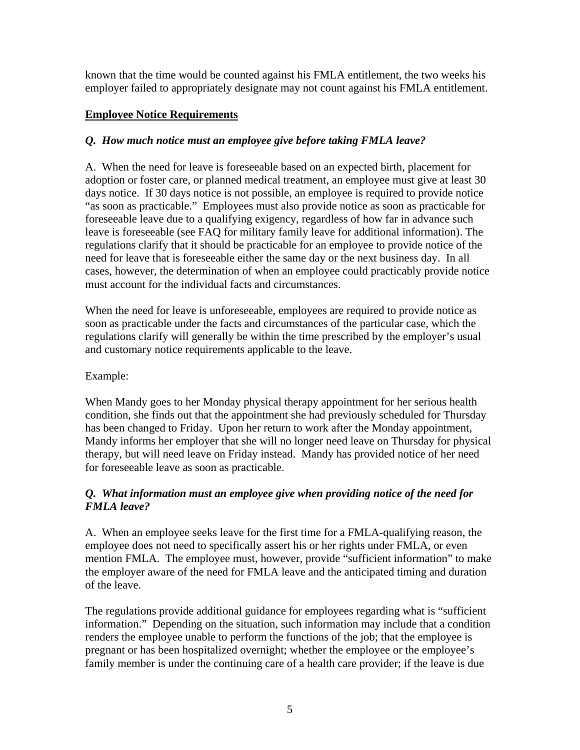known that the time would be counted against his FMLA entitlement, the two weeks his employer failed to appropriately designate may not count against his FMLA entitlement.

### **Employee Notice Requirements**

# *Q. How much notice must an employee give before taking FMLA leave?*

A. When the need for leave is foreseeable based on an expected birth, placement for adoption or foster care, or planned medical treatment, an employee must give at least 30 days notice. If 30 days notice is not possible, an employee is required to provide notice "as soon as practicable." Employees must also provide notice as soon as practicable for foreseeable leave due to a qualifying exigency, regardless of how far in advance such leave is foreseeable (see FAQ for military family leave for additional information). The regulations clarify that it should be practicable for an employee to provide notice of the need for leave that is foreseeable either the same day or the next business day. In all cases, however, the determination of when an employee could practicably provide notice must account for the individual facts and circumstances.

When the need for leave is unforeseeable, employees are required to provide notice as soon as practicable under the facts and circumstances of the particular case, which the regulations clarify will generally be within the time prescribed by the employer's usual and customary notice requirements applicable to the leave.

#### Example:

When Mandy goes to her Monday physical therapy appointment for her serious health condition, she finds out that the appointment she had previously scheduled for Thursday has been changed to Friday. Upon her return to work after the Monday appointment, Mandy informs her employer that she will no longer need leave on Thursday for physical therapy, but will need leave on Friday instead. Mandy has provided notice of her need for foreseeable leave as soon as practicable.

## *Q. What information must an employee give when providing notice of the need for FMLA leave?*

A. When an employee seeks leave for the first time for a FMLA-qualifying reason, the employee does not need to specifically assert his or her rights under FMLA, or even mention FMLA. The employee must, however, provide "sufficient information" to make the employer aware of the need for FMLA leave and the anticipated timing and duration of the leave.

The regulations provide additional guidance for employees regarding what is "sufficient information." Depending on the situation, such information may include that a condition renders the employee unable to perform the functions of the job; that the employee is pregnant or has been hospitalized overnight; whether the employee or the employee's family member is under the continuing care of a health care provider; if the leave is due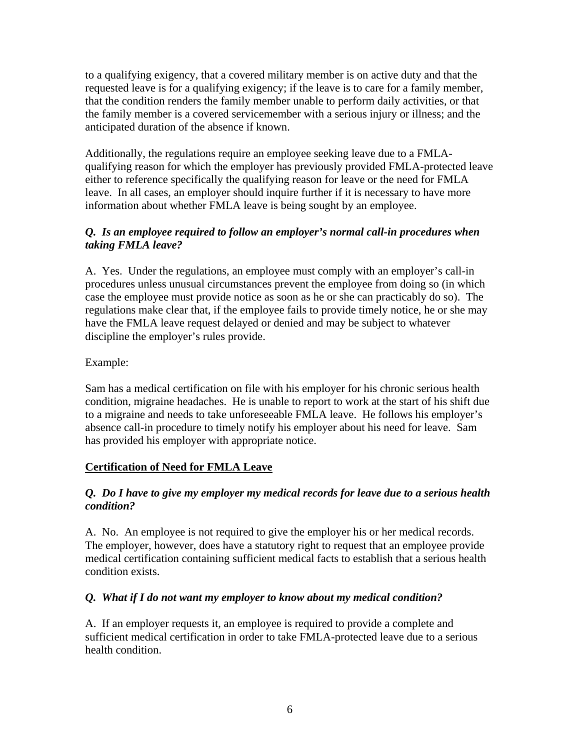to a qualifying exigency, that a covered military member is on active duty and that the requested leave is for a qualifying exigency; if the leave is to care for a family member, that the condition renders the family member unable to perform daily activities, or that the family member is a covered servicemember with a serious injury or illness; and the anticipated duration of the absence if known.

Additionally, the regulations require an employee seeking leave due to a FMLAqualifying reason for which the employer has previously provided FMLA-protected leave either to reference specifically the qualifying reason for leave or the need for FMLA leave. In all cases, an employer should inquire further if it is necessary to have more information about whether FMLA leave is being sought by an employee.

### *Q. Is an employee required to follow an employer's normal call-in procedures when taking FMLA leave?*

A. Yes. Under the regulations, an employee must comply with an employer's call-in procedures unless unusual circumstances prevent the employee from doing so (in which case the employee must provide notice as soon as he or she can practicably do so). The regulations make clear that, if the employee fails to provide timely notice, he or she may have the FMLA leave request delayed or denied and may be subject to whatever discipline the employer's rules provide.

## Example:

Sam has a medical certification on file with his employer for his chronic serious health condition, migraine headaches. He is unable to report to work at the start of his shift due to a migraine and needs to take unforeseeable FMLA leave. He follows his employer's absence call-in procedure to timely notify his employer about his need for leave. Sam has provided his employer with appropriate notice.

# **Certification of Need for FMLA Leave**

#### *Q. Do I have to give my employer my medical records for leave due to a serious health condition?*

A. No. An employee is not required to give the employer his or her medical records. The employer, however, does have a statutory right to request that an employee provide medical certification containing sufficient medical facts to establish that a serious health condition exists.

#### *Q. What if I do not want my employer to know about my medical condition?*

A. If an employer requests it, an employee is required to provide a complete and sufficient medical certification in order to take FMLA-protected leave due to a serious health condition.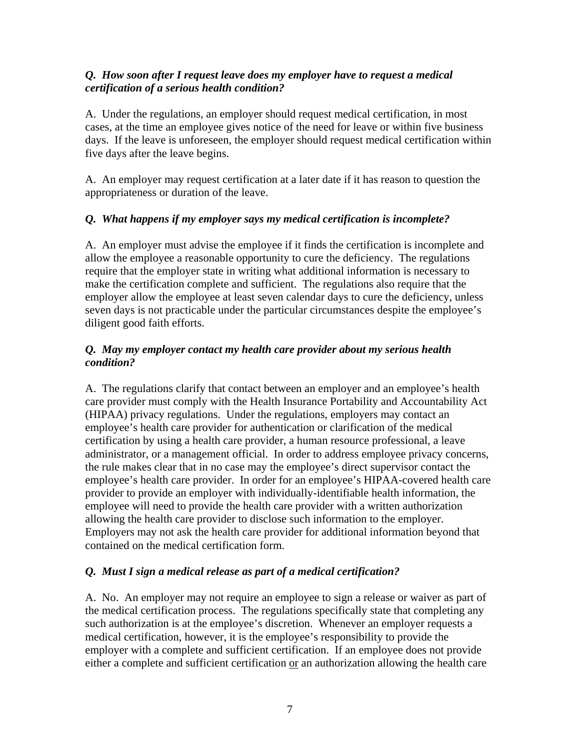#### *Q. How soon after I request leave does my employer have to request a medical certification of a serious health condition?*

A. Under the regulations, an employer should request medical certification, in most cases, at the time an employee gives notice of the need for leave or within five business days. If the leave is unforeseen, the employer should request medical certification within five days after the leave begins.

A. An employer may request certification at a later date if it has reason to question the appropriateness or duration of the leave.

## *Q. What happens if my employer says my medical certification is incomplete?*

A. An employer must advise the employee if it finds the certification is incomplete and allow the employee a reasonable opportunity to cure the deficiency. The regulations require that the employer state in writing what additional information is necessary to make the certification complete and sufficient. The regulations also require that the employer allow the employee at least seven calendar days to cure the deficiency, unless seven days is not practicable under the particular circumstances despite the employee's diligent good faith efforts.

### *Q. May my employer contact my health care provider about my serious health condition?*

A. The regulations clarify that contact between an employer and an employee's health care provider must comply with the Health Insurance Portability and Accountability Act (HIPAA) privacy regulations. Under the regulations, employers may contact an employee's health care provider for authentication or clarification of the medical certification by using a health care provider, a human resource professional, a leave administrator, or a management official. In order to address employee privacy concerns, the rule makes clear that in no case may the employee's direct supervisor contact the employee's health care provider. In order for an employee's HIPAA-covered health care provider to provide an employer with individually-identifiable health information, the employee will need to provide the health care provider with a written authorization allowing the health care provider to disclose such information to the employer. Employers may not ask the health care provider for additional information beyond that contained on the medical certification form.

#### *Q. Must I sign a medical release as part of a medical certification?*

A. No. An employer may not require an employee to sign a release or waiver as part of the medical certification process. The regulations specifically state that completing any such authorization is at the employee's discretion. Whenever an employer requests a medical certification, however, it is the employee's responsibility to provide the employer with a complete and sufficient certification. If an employee does not provide either a complete and sufficient certification or an authorization allowing the health care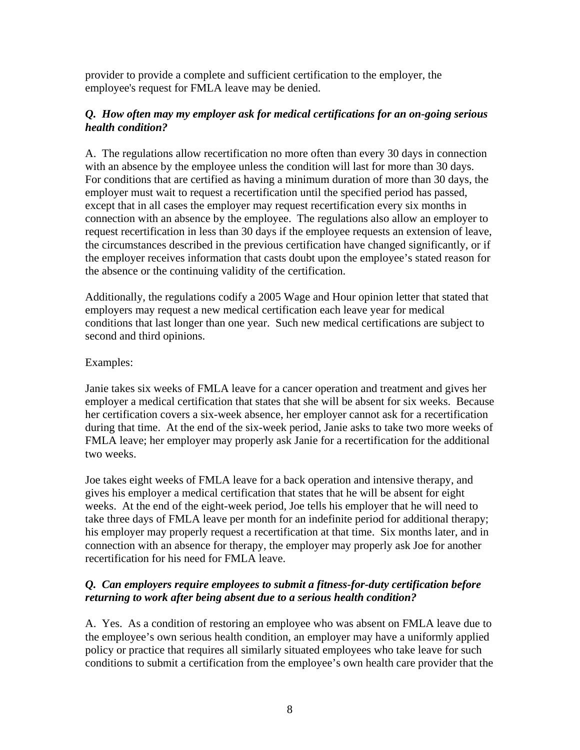provider to provide a complete and sufficient certification to the employer, the employee's request for FMLA leave may be denied.

### *Q. How often may my employer ask for medical certifications for an on-going serious health condition?*

A. The regulations allow recertification no more often than every 30 days in connection with an absence by the employee unless the condition will last for more than 30 days. For conditions that are certified as having a minimum duration of more than 30 days, the employer must wait to request a recertification until the specified period has passed, except that in all cases the employer may request recertification every six months in connection with an absence by the employee. The regulations also allow an employer to request recertification in less than 30 days if the employee requests an extension of leave, the circumstances described in the previous certification have changed significantly, or if the employer receives information that casts doubt upon the employee's stated reason for the absence or the continuing validity of the certification.

Additionally, the regulations codify a 2005 Wage and Hour opinion letter that stated that employers may request a new medical certification each leave year for medical conditions that last longer than one year. Such new medical certifications are subject to second and third opinions.

#### Examples:

Janie takes six weeks of FMLA leave for a cancer operation and treatment and gives her employer a medical certification that states that she will be absent for six weeks. Because her certification covers a six-week absence, her employer cannot ask for a recertification during that time. At the end of the six-week period, Janie asks to take two more weeks of FMLA leave; her employer may properly ask Janie for a recertification for the additional two weeks.

Joe takes eight weeks of FMLA leave for a back operation and intensive therapy, and gives his employer a medical certification that states that he will be absent for eight weeks. At the end of the eight-week period, Joe tells his employer that he will need to take three days of FMLA leave per month for an indefinite period for additional therapy; his employer may properly request a recertification at that time. Six months later, and in connection with an absence for therapy, the employer may properly ask Joe for another recertification for his need for FMLA leave.

# *Q. Can employers require employees to submit a fitness-for-duty certification before returning to work after being absent due to a serious health condition?*

A. Yes. As a condition of restoring an employee who was absent on FMLA leave due to the employee's own serious health condition, an employer may have a uniformly applied policy or practice that requires all similarly situated employees who take leave for such conditions to submit a certification from the employee's own health care provider that the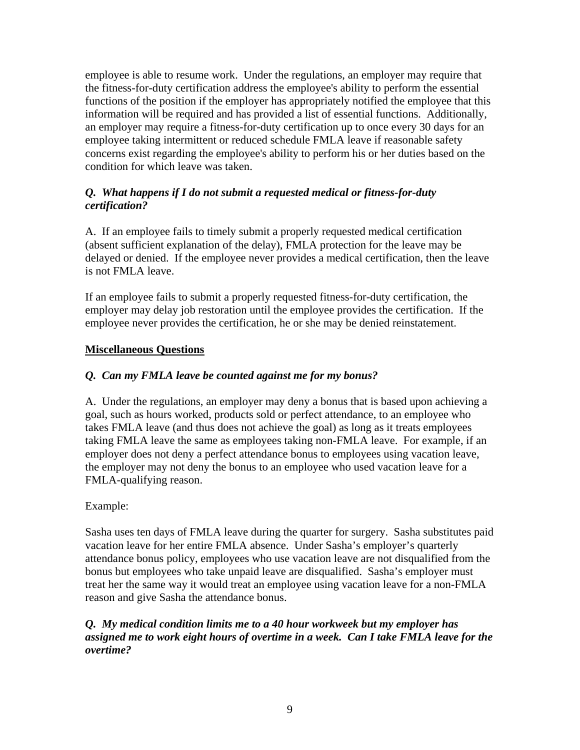employee is able to resume work. Under the regulations, an employer may require that the fitness-for-duty certification address the employee's ability to perform the essential functions of the position if the employer has appropriately notified the employee that this information will be required and has provided a list of essential functions. Additionally, an employer may require a fitness-for-duty certification up to once every 30 days for an employee taking intermittent or reduced schedule FMLA leave if reasonable safety concerns exist regarding the employee's ability to perform his or her duties based on the condition for which leave was taken.

### *Q. What happens if I do not submit a requested medical or fitness-for-duty certification?*

A. If an employee fails to timely submit a properly requested medical certification (absent sufficient explanation of the delay), FMLA protection for the leave may be delayed or denied. If the employee never provides a medical certification, then the leave is not FMLA leave.

If an employee fails to submit a properly requested fitness-for-duty certification, the employer may delay job restoration until the employee provides the certification. If the employee never provides the certification, he or she may be denied reinstatement.

## **Miscellaneous Questions**

### *Q. Can my FMLA leave be counted against me for my bonus?*

A. Under the regulations, an employer may deny a bonus that is based upon achieving a goal, such as hours worked, products sold or perfect attendance, to an employee who takes FMLA leave (and thus does not achieve the goal) as long as it treats employees taking FMLA leave the same as employees taking non-FMLA leave. For example, if an employer does not deny a perfect attendance bonus to employees using vacation leave, the employer may not deny the bonus to an employee who used vacation leave for a FMLA-qualifying reason.

#### Example:

Sasha uses ten days of FMLA leave during the quarter for surgery. Sasha substitutes paid vacation leave for her entire FMLA absence. Under Sasha's employer's quarterly attendance bonus policy, employees who use vacation leave are not disqualified from the bonus but employees who take unpaid leave are disqualified. Sasha's employer must treat her the same way it would treat an employee using vacation leave for a non-FMLA reason and give Sasha the attendance bonus.

#### *Q. My medical condition limits me to a 40 hour workweek but my employer has assigned me to work eight hours of overtime in a week. Can I take FMLA leave for the overtime?*